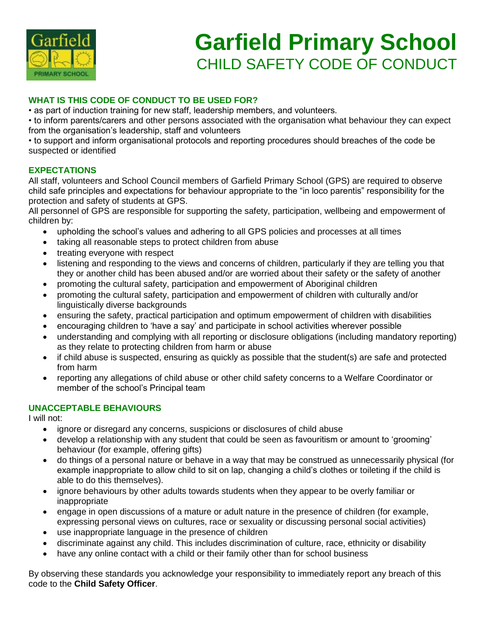

# **Garfield Primary School** CHILD SAFETY CODE OF CONDUCT

### **WHAT IS THIS CODE OF CONDUCT TO BE USED FOR?**

• as part of induction training for new staff, leadership members, and volunteers.

• to inform parents/carers and other persons associated with the organisation what behaviour they can expect from the organisation's leadership, staff and volunteers

• to support and inform organisational protocols and reporting procedures should breaches of the code be suspected or identified

#### **EXPECTATIONS**

All staff, volunteers and School Council members of Garfield Primary School (GPS) are required to observe child safe principles and expectations for behaviour appropriate to the "in loco parentis" responsibility for the protection and safety of students at GPS.

All personnel of GPS are responsible for supporting the safety, participation, wellbeing and empowerment of children by:

- upholding the school's values and adhering to all GPS policies and processes at all times
- taking all reasonable steps to protect children from abuse
- treating everyone with respect
- listening and responding to the views and concerns of children, particularly if they are telling you that they or another child has been abused and/or are worried about their safety or the safety of another
- promoting the cultural safety, participation and empowerment of Aboriginal children
- promoting the cultural safety, participation and empowerment of children with culturally and/or linguistically diverse backgrounds
- ensuring the safety, practical participation and optimum empowerment of children with disabilities
- encouraging children to 'have a say' and participate in school activities wherever possible
- understanding and complying with all reporting or disclosure obligations (including mandatory reporting) as they relate to protecting children from harm or abuse
- if child abuse is suspected, ensuring as quickly as possible that the student(s) are safe and protected from harm
- reporting any allegations of child abuse or other child safety concerns to a Welfare Coordinator or member of the school's Principal team

### **UNACCEPTABLE BEHAVIOURS**

I will not:

- ignore or disregard any concerns, suspicions or disclosures of child abuse
- develop a relationship with any student that could be seen as favouritism or amount to 'grooming' behaviour (for example, offering gifts)
- do things of a personal nature or behave in a way that may be construed as unnecessarily physical (for example inappropriate to allow child to sit on lap, changing a child's clothes or toileting if the child is able to do this themselves).
- ignore behaviours by other adults towards students when they appear to be overly familiar or inappropriate
- engage in open discussions of a mature or adult nature in the presence of children (for example, expressing personal views on cultures, race or sexuality or discussing personal social activities)
- use inappropriate language in the presence of children
- discriminate against any child. This includes discrimination of culture, race, ethnicity or disability
- have any online contact with a child or their family other than for school business

By observing these standards you acknowledge your responsibility to immediately report any breach of this code to the **Child Safety Officer**.